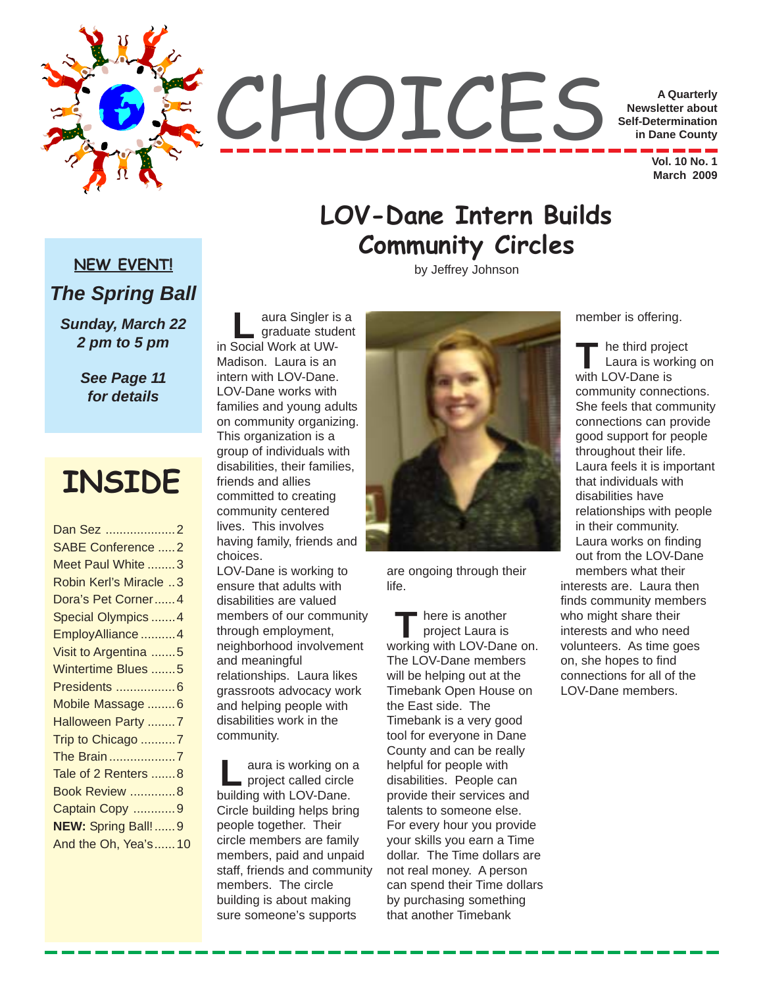

# **LOV-Dane Intern Builds Community Circles**

by Jeffrey Johnson

**NEW EVENT!** *The Spring Ball*

*Sunday, March 22 2 pm to 5 pm*

> *See Page 11 for details*

# **INSIDE**

| Dan Sez 2                |
|--------------------------|
| <b>SABE Conference 2</b> |
| Meet Paul White  3       |
| Robin Kerl's Miracle 3   |
| Dora's Pet Corner 4      |
| Special Olympics4        |
| EmployAlliance4          |
| Visit to Argentina 5     |
| Wintertime Blues 5       |
| Presidents  6            |
| Mobile Massage  6        |
| Halloween Party 7        |
| Trip to Chicago 7        |
| The Brain7               |
| Tale of 2 Renters 8      |
| <b>Book Review 8</b>     |
| Captain Copy 9           |
| NEW: Spring Ball!9       |
| And the Oh, Yea's  10    |

aura Singler is a graduate student aura Singler is<br>graduate stud<br>in Social Work at UW-Madison. Laura is an intern with LOV-Dane. LOV-Dane works with families and young adults on community organizing. This organization is a group of individuals with disabilities, their families, friends and allies committed to creating community centered lives. This involves having family, friends and choices.

LOV-Dane is working to ensure that adults with disabilities are valued members of our community through employment, neighborhood involvement and meaningful relationships. Laura likes grassroots advocacy work and helping people with disabilities work in the community.

aura is working on a project called circle aura is working on<br>project called circle<br>building with LOV-Dane. Circle building helps bring people together. Their circle members are family members, paid and unpaid staff, friends and community members. The circle building is about making sure someone's supports



are ongoing through their life.

here is another project Laura is **There is another<br>project Laura is<br>working with LOV-Dane on.** The LOV-Dane members will be helping out at the Timebank Open House on the East side. The Timebank is a very good tool for everyone in Dane County and can be really helpful for people with disabilities. People can provide their services and talents to someone else. For every hour you provide your skills you earn a Time dollar. The Time dollars are not real money. A person can spend their Time dollars by purchasing something that another Timebank

member is offering.

he third project Laura is working on **T** he third proj<br>Laura is work<br>With LOV-Dane is community connections. She feels that community connections can provide good support for people throughout their life. Laura feels it is important that individuals with disabilities have relationships with people in their community. Laura works on finding out from the LOV-Dane members what their interests are. Laura then finds community members who might share their interests and who need volunteers. As time goes on, she hopes to find connections for all of the LOV-Dane members.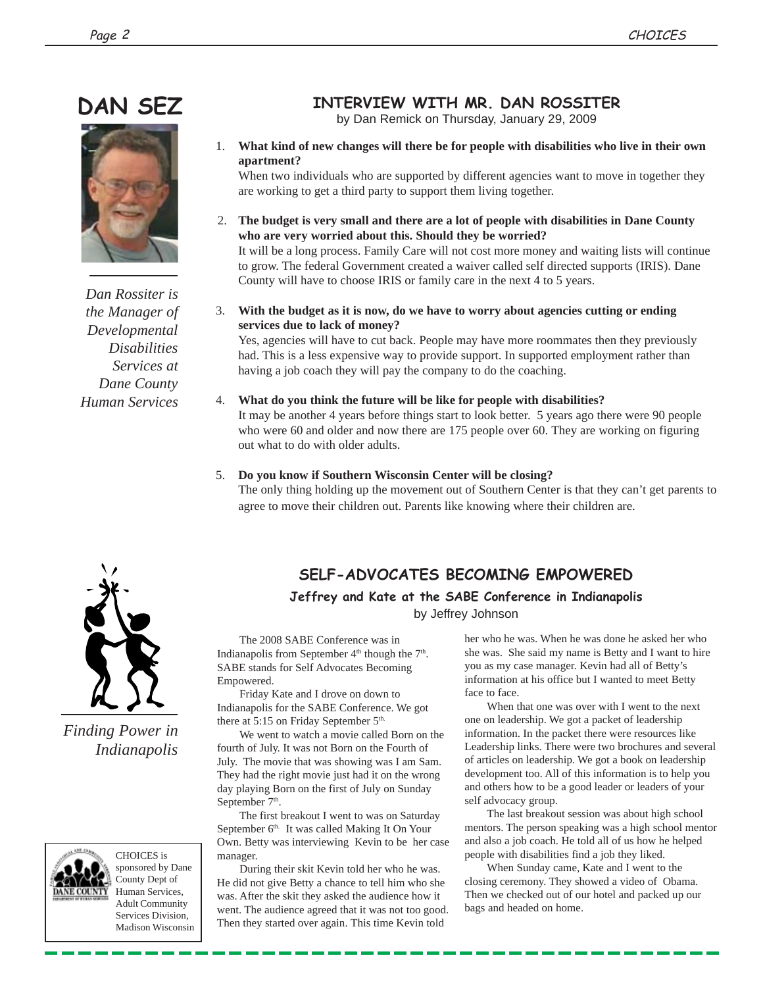

*Dan Rossiter is the Manager of Developmental Disabilities Services at Dane County Human Services*

### **INTERVIEW WITH MR. DAN ROSSITER**

by Dan Remick on Thursday, January 29, 2009

1. **What kind of new changes will there be for people with disabilities who live in their own apartment?**

When two individuals who are supported by different agencies want to move in together they are working to get a third party to support them living together.

- 2. **The budget is very small and there are a lot of people with disabilities in Dane County who are very worried about this. Should they be worried?** It will be a long process. Family Care will not cost more money and waiting lists will continue to grow. The federal Government created a waiver called self directed supports (IRIS). Dane County will have to choose IRIS or family care in the next 4 to 5 years.
- 3. **With the budget as it is now, do we have to worry about agencies cutting or ending services due to lack of money?**

Yes, agencies will have to cut back. People may have more roommates then they previously had. This is a less expensive way to provide support. In supported employment rather than having a job coach they will pay the company to do the coaching.

#### 4. **What do you think the future will be like for people with disabilities?**

It may be another 4 years before things start to look better. 5 years ago there were 90 people who were 60 and older and now there are 175 people over 60. They are working on figuring out what to do with older adults.

### 5. **Do you know if Southern Wisconsin Center will be closing?**

The only thing holding up the movement out of Southern Center is that they can't get parents to agree to move their children out. Parents like knowing where their children are.



*Finding Power in Indianapolis*



CHOICES is sponsored by Dane County Dept of Human Services, Adult Community Services Division, Madison Wisconsin

## **SELF-ADVOCATES BECOMING EMPOWERED**

**Jeffrey and Kate at the SABE Conference in Indianapolis** by Jeffrey Johnson

The 2008 SABE Conference was in Indianapolis from September  $4<sup>th</sup>$  though the  $7<sup>th</sup>$ . SABE stands for Self Advocates Becoming Empowered.

Friday Kate and I drove on down to Indianapolis for the SABE Conference. We got there at 5:15 on Friday September 5<sup>th.</sup>

We went to watch a movie called Born on the fourth of July. It was not Born on the Fourth of July. The movie that was showing was I am Sam. They had the right movie just had it on the wrong day playing Born on the first of July on Sunday September 7<sup>th</sup>.

The first breakout I went to was on Saturday September 6<sup>th.</sup> It was called Making It On Your Own. Betty was interviewing Kevin to be her case manager.

During their skit Kevin told her who he was. He did not give Betty a chance to tell him who she was. After the skit they asked the audience how it went. The audience agreed that it was not too good. Then they started over again. This time Kevin told

her who he was. When he was done he asked her who she was. She said my name is Betty and I want to hire you as my case manager. Kevin had all of Betty's information at his office but I wanted to meet Betty face to face.

When that one was over with I went to the next one on leadership. We got a packet of leadership information. In the packet there were resources like Leadership links. There were two brochures and several of articles on leadership. We got a book on leadership development too. All of this information is to help you and others how to be a good leader or leaders of your self advocacy group.

The last breakout session was about high school mentors. The person speaking was a high school mentor and also a job coach. He told all of us how he helped people with disabilities find a job they liked.

When Sunday came, Kate and I went to the closing ceremony. They showed a video of Obama. Then we checked out of our hotel and packed up our bags and headed on home.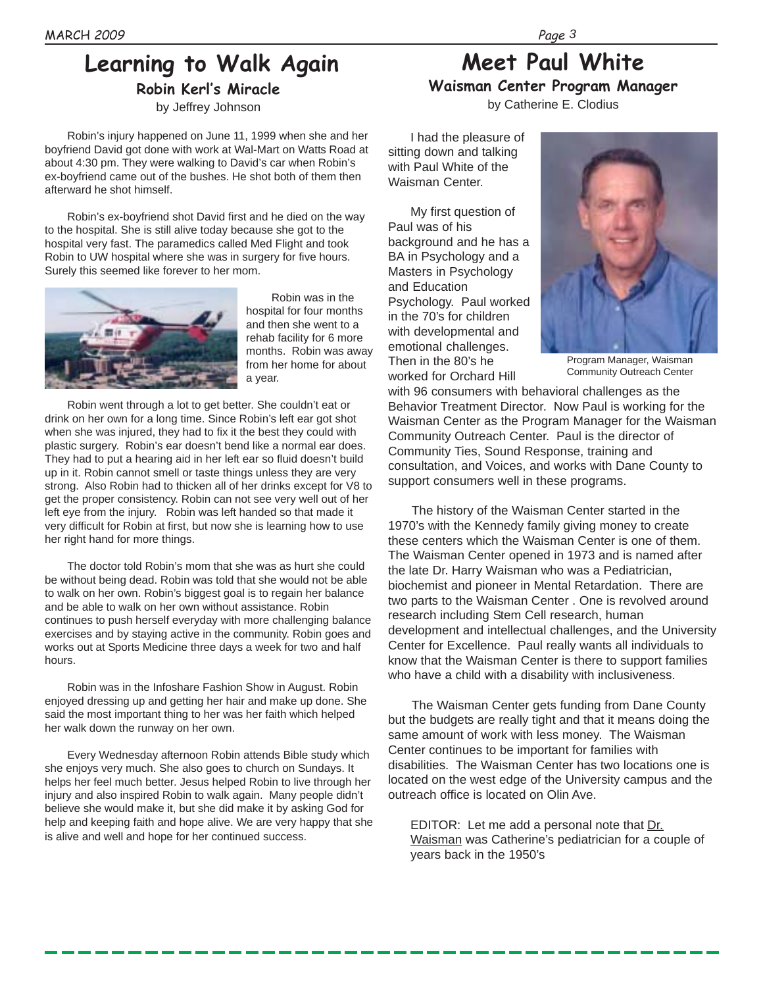### **Learning to Walk Again Robin Kerl's Miracle**

by Jeffrey Johnson

Robin's injury happened on June 11, 1999 when she and her boyfriend David got done with work at Wal-Mart on Watts Road at about 4:30 pm. They were walking to David's car when Robin's ex-boyfriend came out of the bushes. He shot both of them then afterward he shot himself.

Robin's ex-boyfriend shot David first and he died on the way to the hospital. She is still alive today because she got to the hospital very fast. The paramedics called Med Flight and took Robin to UW hospital where she was in surgery for five hours. Surely this seemed like forever to her mom.



 Robin was in the hospital for four months and then she went to a rehab facility for 6 more months. Robin was away from her home for about a year.

Robin went through a lot to get better. She couldn't eat or drink on her own for a long time. Since Robin's left ear got shot when she was injured, they had to fix it the best they could with plastic surgery. Robin's ear doesn't bend like a normal ear does. They had to put a hearing aid in her left ear so fluid doesn't build up in it. Robin cannot smell or taste things unless they are very strong. Also Robin had to thicken all of her drinks except for V8 to get the proper consistency. Robin can not see very well out of her left eye from the injury. Robin was left handed so that made it very difficult for Robin at first, but now she is learning how to use her right hand for more things.

The doctor told Robin's mom that she was as hurt she could be without being dead. Robin was told that she would not be able to walk on her own. Robin's biggest goal is to regain her balance and be able to walk on her own without assistance. Robin continues to push herself everyday with more challenging balance exercises and by staying active in the community. Robin goes and works out at Sports Medicine three days a week for two and half hours.

Robin was in the Infoshare Fashion Show in August. Robin enjoyed dressing up and getting her hair and make up done. She said the most important thing to her was her faith which helped her walk down the runway on her own.

Every Wednesday afternoon Robin attends Bible study which she enjoys very much. She also goes to church on Sundays. It helps her feel much better. Jesus helped Robin to live through her injury and also inspired Robin to walk again. Many people didn't believe she would make it, but she did make it by asking God for help and keeping faith and hope alive. We are very happy that she is alive and well and hope for her continued success.

## **Meet Paul White Waisman Center Program Manager**

by Catherine E. Clodius

I had the pleasure of sitting down and talking with Paul White of the Waisman Center.

My first question of Paul was of his background and he has a BA in Psychology and a Masters in Psychology and Education Psychology. Paul worked in the 70's for children with developmental and emotional challenges. Then in the 80's he worked for Orchard Hill



Program Manager, Waisman Community Outreach Center

with 96 consumers with behavioral challenges as the Behavior Treatment Director. Now Paul is working for the Waisman Center as the Program Manager for the Waisman Community Outreach Center. Paul is the director of Community Ties, Sound Response, training and consultation, and Voices, and works with Dane County to support consumers well in these programs.

The history of the Waisman Center started in the 1970's with the Kennedy family giving money to create these centers which the Waisman Center is one of them. The Waisman Center opened in 1973 and is named after the late Dr. Harry Waisman who was a Pediatrician, biochemist and pioneer in Mental Retardation. There are two parts to the Waisman Center . One is revolved around research including Stem Cell research, human development and intellectual challenges, and the University Center for Excellence. Paul really wants all individuals to know that the Waisman Center is there to support families who have a child with a disability with inclusiveness.

The Waisman Center gets funding from Dane County but the budgets are really tight and that it means doing the same amount of work with less money. The Waisman Center continues to be important for families with disabilities. The Waisman Center has two locations one is located on the west edge of the University campus and the outreach office is located on Olin Ave.

EDITOR: Let me add a personal note that Dr. Waisman was Catherine's pediatrician for a couple of years back in the 1950's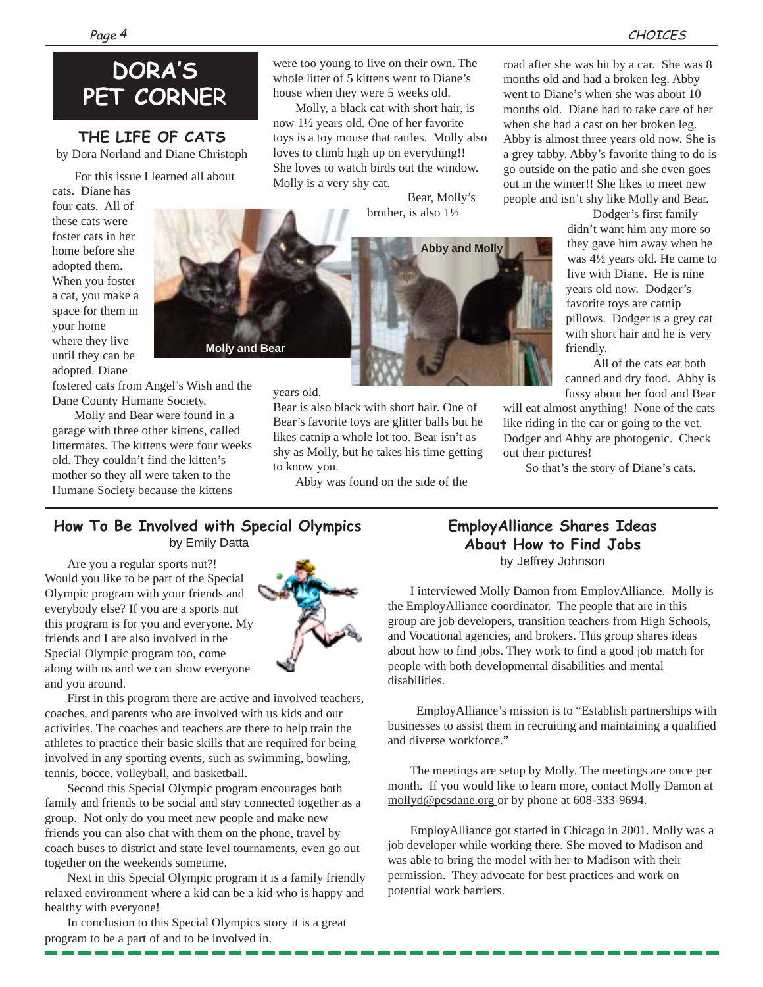## **DORA'S PET CORNE**R

## **THE LIFE OF CATS**

by Dora Norland and Diane Christoph

For this issue I learned all about

cats. Diane has four cats. All of these cats were foster cats in her home before she adopted them. When you foster a cat, you make a space for them in your home where they live until they can be adopted. Diane

fostered cats from Angel's Wish and the Dane County Humane Society.

Molly and Bear were found in a garage with three other kittens, called littermates. The kittens were four weeks old. They couldn't find the kitten's mother so they all were taken to the Humane Society because the kittens



were too young to live on their own. The whole litter of 5 kittens went to Diane's house when they were 5 weeks old.

Molly, a black cat with short hair, is now 1½ years old. One of her favorite toys is a toy mouse that rattles. Molly also loves to climb high up on everything!! She loves to watch birds out the window. Molly is a very shy cat.

> Bear, Molly's brother, is also 1½



years old.

Bear is also black with short hair. One of Bear's favorite toys are glitter balls but he likes catnip a whole lot too. Bear isn't as shy as Molly, but he takes his time getting to know you.

Abby was found on the side of the

road after she was hit by a car. She was 8 months old and had a broken leg. Abby went to Diane's when she was about 10 months old. Diane had to take care of her when she had a cast on her broken leg. Abby is almost three years old now. She is a grey tabby. Abby's favorite thing to do is go outside on the patio and she even goes out in the winter!! She likes to meet new people and isn't shy like Molly and Bear.

Dodger's first family didn't want him any more so they gave him away when he was 4½ years old. He came to live with Diane. He is nine years old now. Dodger's favorite toys are catnip pillows. Dodger is a grey cat with short hair and he is very friendly.

All of the cats eat both canned and dry food. Abby is fussy about her food and Bear

will eat almost anything! None of the cats like riding in the car or going to the vet. Dodger and Abby are photogenic. Check out their pictures!

So that's the story of Diane's cats.

## **How To Be Involved with Special Olympics**

by Emily Datta

Are you a regular sports nut?! Would you like to be part of the Special Olympic program with your friends and everybody else? If you are a sports nut this program is for you and everyone. My friends and I are also involved in the Special Olympic program too, come along with us and we can show everyone and you around.



First in this program there are active and involved teachers, coaches, and parents who are involved with us kids and our activities. The coaches and teachers are there to help train the athletes to practice their basic skills that are required for being involved in any sporting events, such as swimming, bowling, tennis, bocce, volleyball, and basketball.

Second this Special Olympic program encourages both family and friends to be social and stay connected together as a group. Not only do you meet new people and make new friends you can also chat with them on the phone, travel by coach buses to district and state level tournaments, even go out together on the weekends sometime.

Next in this Special Olympic program it is a family friendly relaxed environment where a kid can be a kid who is happy and healthy with everyone!

In conclusion to this Special Olympics story it is a great program to be a part of and to be involved in.

### **EmployAlliance Shares Ideas About How to Find Jobs** by Jeffrey Johnson

I interviewed Molly Damon from EmployAlliance. Molly is the EmployAlliance coordinator. The people that are in this group are job developers, transition teachers from High Schools, and Vocational agencies, and brokers. This group shares ideas about how to find jobs. They work to find a good job match for people with both developmental disabilities and mental disabilities.

 EmployAlliance's mission is to "Establish partnerships with businesses to assist them in recruiting and maintaining a qualified and diverse workforce."

The meetings are setup by Molly. The meetings are once per month. If you would like to learn more, contact Molly Damon at mollyd@pcsdane.org or by phone at 608-333-9694.

EmployAlliance got started in Chicago in 2001. Molly was a job developer while working there. She moved to Madison and was able to bring the model with her to Madison with their permission. They advocate for best practices and work on potential work barriers.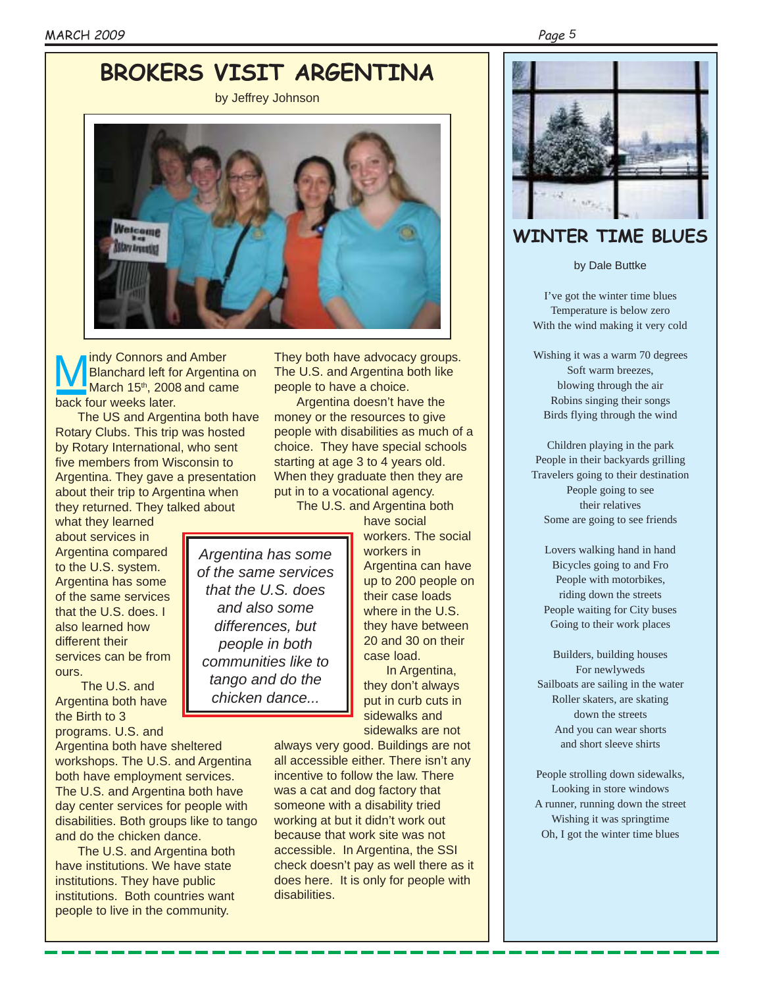## **BROKERS VISIT ARGENTINA**

by Jeffrey Johnson



*Argentina has some of the same services that the U.S. does and also some differences, but people in both communities like to tango and do the chicken dance...*

indy Connors and Amber Blanchard left for Argentina on March  $15<sup>th</sup>$ , 2008 and came back four weeks later. M

The US and Argentina both have Rotary Clubs. This trip was hosted by Rotary International, who sent five members from Wisconsin to Argentina. They gave a presentation about their trip to Argentina when they returned. They talked about

what they learned about services in Argentina compared to the U.S. system. Argentina has some of the same services that the U.S. does. I also learned how different their services can be from ours.

 The U.S. and Argentina both have the Birth to 3 programs. U.S. and

Argentina both have sheltered workshops. The U.S. and Argentina both have employment services. The U.S. and Argentina both have day center services for people with disabilities. Both groups like to tango and do the chicken dance.

The U.S. and Argentina both have institutions. We have state institutions. They have public institutions. Both countries want people to live in the community.

They both have advocacy groups. The U.S. and Argentina both like people to have a choice.

Argentina doesn't have the money or the resources to give people with disabilities as much of a choice. They have special schools starting at age 3 to 4 years old. When they graduate then they are put in to a vocational agency.

The U.S. and Argentina both

have social workers. The social workers in Argentina can have up to 200 people on their case loads where in the U.S. they have between 20 and 30 on their case load.

In Argentina, they don't always put in curb cuts in sidewalks and sidewalks are not

always very good. Buildings are not all accessible either. There isn't any incentive to follow the law. There was a cat and dog factory that someone with a disability tried working at but it didn't work out because that work site was not accessible. In Argentina, the SSI check doesn't pay as well there as it does here. It is only for people with disabilities.



### **WINTER TIME BLUES**

by Dale Buttke

I've got the winter time blues Temperature is below zero With the wind making it very cold

Wishing it was a warm 70 degrees Soft warm breezes, blowing through the air Robins singing their songs Birds flying through the wind

Children playing in the park People in their backyards grilling Travelers going to their destination People going to see their relatives Some are going to see friends

Lovers walking hand in hand Bicycles going to and Fro People with motorbikes, riding down the streets People waiting for City buses Going to their work places

Builders, building houses For newlyweds Sailboats are sailing in the water Roller skaters, are skating down the streets And you can wear shorts and short sleeve shirts

People strolling down sidewalks, Looking in store windows A runner, running down the street Wishing it was springtime Oh, I got the winter time blues

#### *5*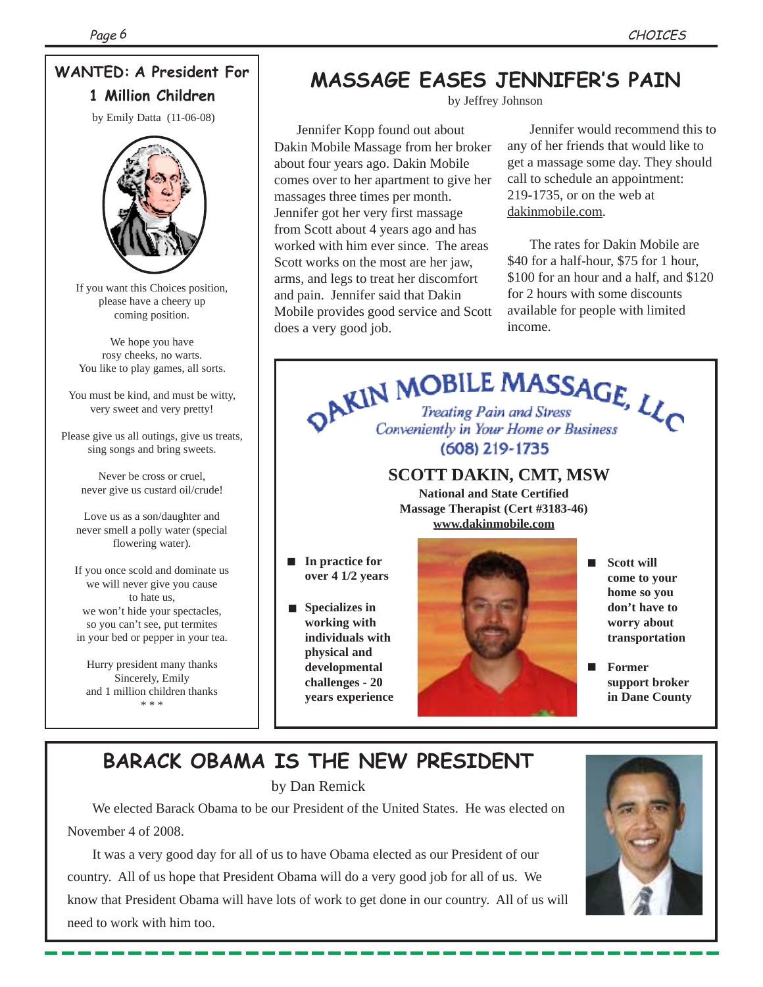# **WANTED: A President For**

**1 Million Children**

by Emily Datta (11-06-08)



If you want this Choices position, please have a cheery up coming position.

We hope you have rosy cheeks, no warts. You like to play games, all sorts.

You must be kind, and must be witty, very sweet and very pretty!

Please give us all outings, give us treats, sing songs and bring sweets.

> Never be cross or cruel, never give us custard oil/crude!

Love us as a son/daughter and never smell a polly water (special flowering water).

If you once scold and dominate us we will never give you cause to hate us, we won't hide your spectacles, so you can't see, put termites in your bed or pepper in your tea.

Hurry president many thanks Sincerely, Emily and 1 million children thanks \* \* \*

## **MASSAGE EASES JENNIFER'S PAIN**

by Jeffrey Johnson

Jennifer Kopp found out about Dakin Mobile Massage from her broker about four years ago. Dakin Mobile comes over to her apartment to give her massages three times per month. Jennifer got her very first massage from Scott about 4 years ago and has worked with him ever since. The areas Scott works on the most are her jaw, arms, and legs to treat her discomfort and pain. Jennifer said that Dakin Mobile provides good service and Scott does a very good job.

Jennifer would recommend this to any of her friends that would like to get a massage some day. They should call to schedule an appointment: 219-1735, or on the web at dakinmobile.com.

The rates for Dakin Mobile are \$40 for a half-hour, \$75 for 1 hour, \$100 for an hour and a half, and \$120 for 2 hours with some discounts available for people with limited income.



by Dan Remick

We elected Barack Obama to be our President of the United States. He was elected on November 4 of 2008.

It was a very good day for all of us to have Obama elected as our President of our country. All of us hope that President Obama will do a very good job for all of us. We know that President Obama will have lots of work to get done in our country. All of us will need to work with him too.

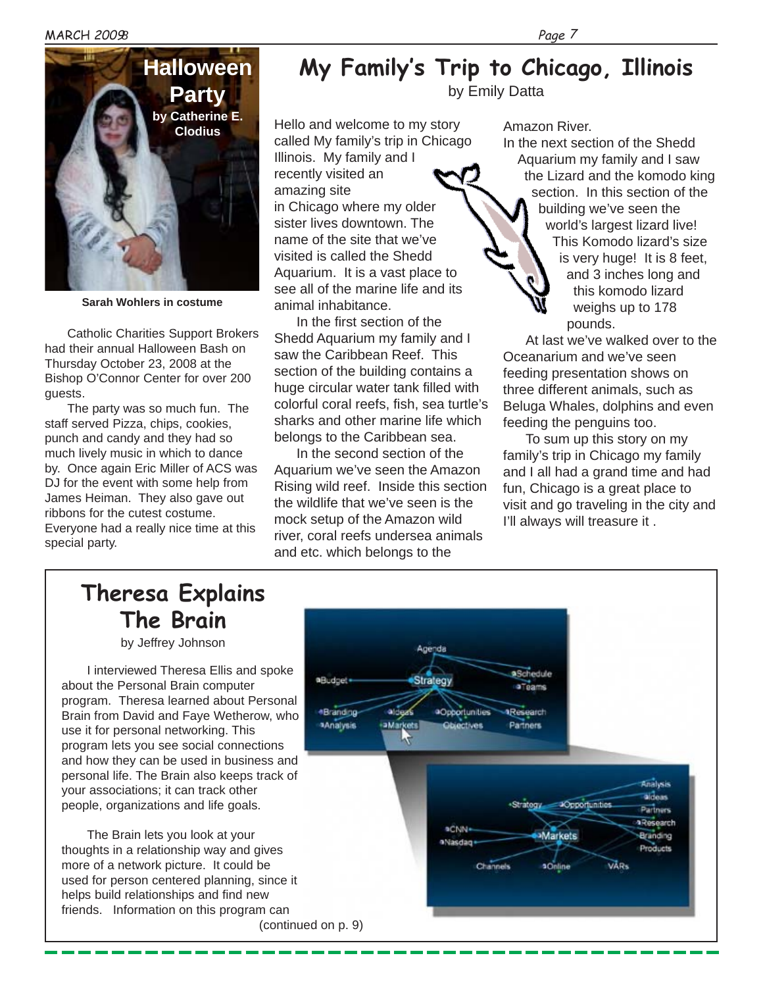

**Sarah Wohlers in costume**

Catholic Charities Support Brokers had their annual Halloween Bash on Thursday October 23, 2008 at the Bishop O'Connor Center for over 200 guests.

The party was so much fun. The staff served Pizza, chips, cookies, punch and candy and they had so much lively music in which to dance by. Once again Eric Miller of ACS was DJ for the event with some help from James Heiman. They also gave out ribbons for the cutest costume. Everyone had a really nice time at this special party.

# **My Family's Trip to Chicago, Illinois**

by Emily Datta

Hello and welcome to my story called My family's trip in Chicago Illinois. My family and I recently visited an amazing site in Chicago where my older sister lives downtown. The name of the site that we've visited is called the Shedd Aquarium. It is a vast place to see all of the marine life and its animal inhabitance.

In the first section of the Shedd Aquarium my family and I saw the Caribbean Reef. This section of the building contains a huge circular water tank filled with colorful coral reefs, fish, sea turtle's sharks and other marine life which belongs to the Caribbean sea.

In the second section of the Aquarium we've seen the Amazon Rising wild reef. Inside this section the wildlife that we've seen is the mock setup of the Amazon wild river, coral reefs undersea animals and etc. which belongs to the

Amazon River.

In the next section of the Shedd Aquarium my family and I saw the Lizard and the komodo king section. In this section of the building we've seen the world's largest lizard live! This Komodo lizard's size is very huge! It is 8 feet, and 3 inches long and this komodo lizard weighs up to 178 pounds.

At last we've walked over to the Oceanarium and we've seen feeding presentation shows on three different animals, such as Beluga Whales, dolphins and even feeding the penguins too.

To sum up this story on my family's trip in Chicago my family and I all had a grand time and had fun, Chicago is a great place to visit and go traveling in the city and I'll always will treasure it .

## **Theresa Explains The Brain**

by Jeffrey Johnson

I interviewed Theresa Ellis and spoke about the Personal Brain computer program. Theresa learned about Personal Brain from David and Faye Wetherow, who use it for personal networking. This program lets you see social connections and how they can be used in business and personal life. The Brain also keeps track of your associations; it can track other people, organizations and life goals.

The Brain lets you look at your thoughts in a relationship way and gives more of a network picture. It could be used for person centered planning, since it helps build relationships and find new friends. Information on this program can

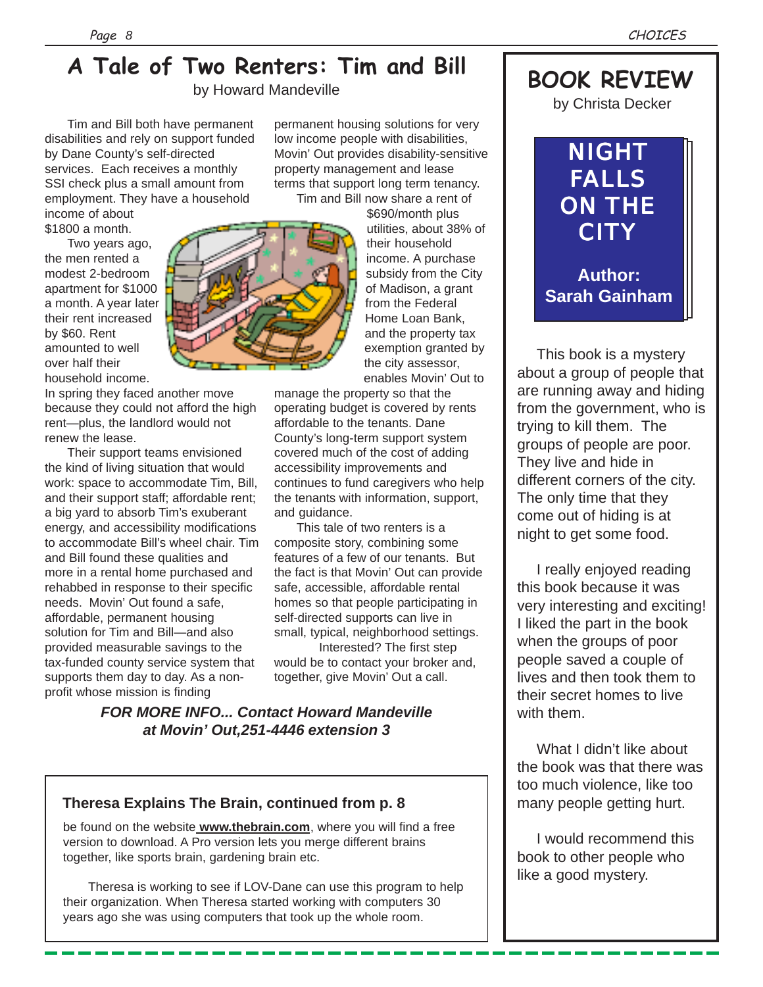#### *8*

### **A Tale of Two Renters: Tim and Bill** by Howard Mandeville **BOOK REVIEW**

Tim and Bill both have permanent disabilities and rely on support funded by Dane County's self-directed services. Each receives a monthly SSI check plus a small amount from employment. They have a household

income of about \$1800 a month.

Two years ago, the men rented a modest 2-bedroom apartment for \$1000 a month. A year later their rent increased by \$60. Rent amounted to well over half their household income.

In spring they faced another move because they could not afford the high rent—plus, the landlord would not renew the lease.

Their support teams envisioned the kind of living situation that would work: space to accommodate Tim, Bill, and their support staff; affordable rent; a big yard to absorb Tim's exuberant energy, and accessibility modifications to accommodate Bill's wheel chair. Tim and Bill found these qualities and more in a rental home purchased and rehabbed in response to their specific needs. Movin' Out found a safe, affordable, permanent housing solution for Tim and Bill—and also provided measurable savings to the tax-funded county service system that supports them day to day. As a nonprofit whose mission is finding

permanent housing solutions for very low income people with disabilities, Movin' Out provides disability-sensitive property management and lease terms that support long term tenancy. Tim and Bill now share a rent of

\$690/month plus utilities, about 38% of their household income. A purchase subsidy from the City of Madison, a grant from the Federal Home Loan Bank, and the property tax exemption granted by the city assessor, enables Movin' Out to

manage the property so that the operating budget is covered by rents affordable to the tenants. Dane County's long-term support system covered much of the cost of adding accessibility improvements and continues to fund caregivers who help the tenants with information, support, and guidance.

This tale of two renters is a composite story, combining some features of a few of our tenants. But the fact is that Movin' Out can provide safe, accessible, affordable rental homes so that people participating in self-directed supports can live in small, typical, neighborhood settings. Interested? The first step

would be to contact your broker and, together, give Movin' Out a call.

*FOR MORE INFO... Contact Howard Mandeville at Movin' Out,251-4446 extension 3*

### **Theresa Explains The Brain, continued from p. 8**

be found on the website **www.thebrain.com**, where you will find a free version to download. A Pro version lets you merge different brains together, like sports brain, gardening brain etc.

Theresa is working to see if LOV-Dane can use this program to help their organization. When Theresa started working with computers 30 years ago she was using computers that took up the whole room.



This book is a mystery about a group of people that are running away and hiding from the government, who is trying to kill them. The groups of people are poor. They live and hide in different corners of the city. The only time that they come out of hiding is at night to get some food.

I really enjoyed reading this book because it was very interesting and exciting! I liked the part in the book when the groups of poor people saved a couple of lives and then took them to their secret homes to live with them.

What I didn't like about the book was that there was too much violence, like too many people getting hurt.

I would recommend this book to other people who like a good mystery.

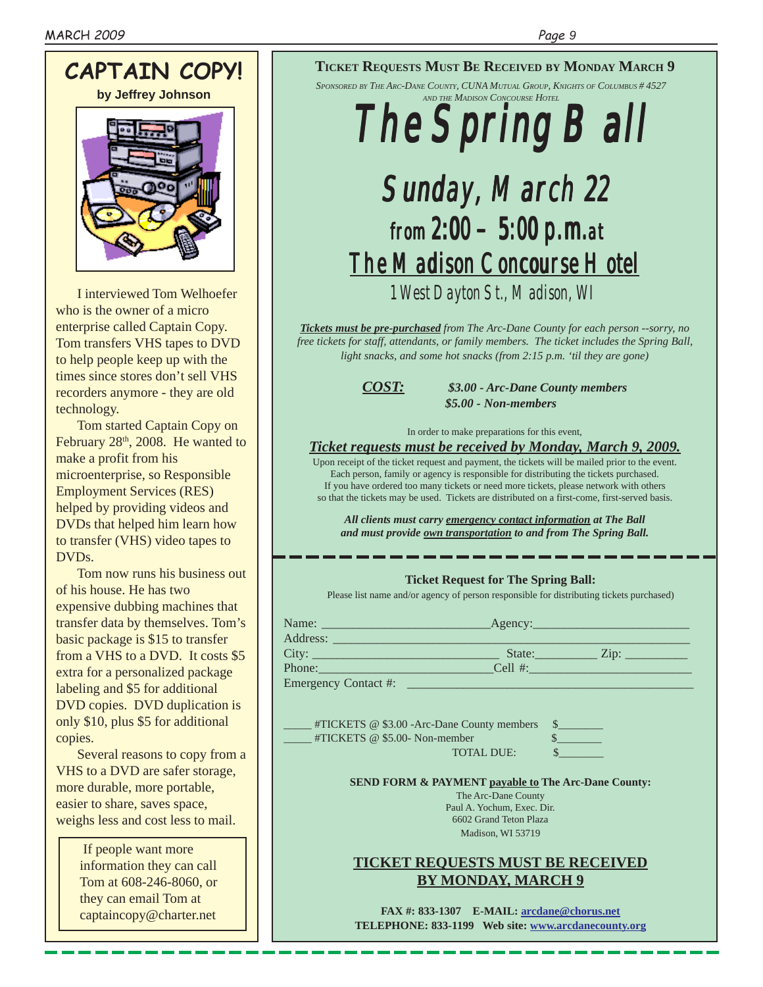

I interviewed Tom Welhoefer who is the owner of a micro enterprise called Captain Copy. Tom transfers VHS tapes to DVD to help people keep up with the times since stores don't sell VHS recorders anymore - they are old technology.

Tom started Captain Copy on February 28<sup>th</sup>, 2008. He wanted to make a profit from his microenterprise, so Responsible Employment Services (RES) helped by providing videos and DVDs that helped him learn how to transfer (VHS) video tapes to DVDs.

Tom now runs his business out of his house. He has two expensive dubbing machines that transfer data by themselves. Tom's basic package is \$15 to transfer from a VHS to a DVD. It costs \$5 extra for a personalized package labeling and \$5 for additional DVD copies. DVD duplication is only \$10, plus \$5 for additional copies.

Several reasons to copy from a VHS to a DVD are safer storage, more durable, more portable, easier to share, saves space, weighs less and cost less to mail.

> If people want more information they can call Tom at 608-246-8060, or they can email Tom at captaincopy@charter.net

### **TICKET REQUESTS MUST BE RECEIVED BY MONDAY MARCH 9**

*SPONSORED BY THE ARC-DANE COUNTY, CUNA MUTUAL GROUP, KNIGHTS OF COLUMBUS # 4527 AND THE MADISON CONCOURSE HOTEL*

 *The Spring Ball The Ball The Spring Ball*

# *Sunday, March 22 March 22 22 from 2:00 – 5:00 p.m. 2:00 – 5:00 p.m. 2:00 – 5:00 p.m.at The Madison Concourse Hotel The Madison Concourse Madison Concourse Hotel 1 West Dayton St., Madison, WI*

*Tickets must be pre-purchased from The Arc-Dane County for each person --sorry, no free tickets for staff, attendants, or family members. The ticket includes the Spring Ball, light snacks, and some hot snacks (from 2:15 p.m. 'til they are gone)*



*COST: \$3.00 - Arc-Dane County members \$5.00 - Non-members*

In order to make preparations for this event,

#### *Ticket requests must be received by Monday, March 9, 2009.*

Upon receipt of the ticket request and payment, the tickets will be mailed prior to the event. Each person, family or agency is responsible for distributing the tickets purchased. If you have ordered too many tickets or need more tickets, please network with others so that the tickets may be used. Tickets are distributed on a first-come, first-served basis.

*All clients must carry emergency contact information at The Ball and must provide own transportation to and from The Spring Ball.*

#### **Ticket Request for The Spring Ball:**

Please list name and/or agency of person responsible for distributing tickets purchased)

|                                                                | Name: Name and the Marian Communication of the Marian Communication of the Marian Communication of the Marian Communication of the Marian Communication of the Marian Communication of the Marian Communication of the Marian | $\text{Agency:}\n$            |  |
|----------------------------------------------------------------|-------------------------------------------------------------------------------------------------------------------------------------------------------------------------------------------------------------------------------|-------------------------------|--|
|                                                                |                                                                                                                                                                                                                               |                               |  |
|                                                                |                                                                                                                                                                                                                               |                               |  |
|                                                                |                                                                                                                                                                                                                               |                               |  |
|                                                                |                                                                                                                                                                                                                               |                               |  |
|                                                                |                                                                                                                                                                                                                               |                               |  |
|                                                                | $\text{HTICKETS} \otimes \$3.00$ -Arc-Dane County members                                                                                                                                                                     | s                             |  |
|                                                                | #TICKETS @ \$5.00- Non-member                                                                                                                                                                                                 | s                             |  |
|                                                                | TOTAL DUE:                                                                                                                                                                                                                    | $\mathbb{S}$ and $\mathbb{S}$ |  |
|                                                                |                                                                                                                                                                                                                               |                               |  |
| <b>SEND FORM &amp; PAYMENT payable to The Arc-Dane County:</b> |                                                                                                                                                                                                                               |                               |  |
| The Arc-Dane County                                            |                                                                                                                                                                                                                               |                               |  |
| Paul A. Yochum, Exec. Dir.                                     |                                                                                                                                                                                                                               |                               |  |
| 6602 Grand Teton Plaza                                         |                                                                                                                                                                                                                               |                               |  |
| Madison, WI 53719                                              |                                                                                                                                                                                                                               |                               |  |
|                                                                |                                                                                                                                                                                                                               |                               |  |
| <b>TICKET REQUESTS MUST BE RECEIVED</b>                        |                                                                                                                                                                                                                               |                               |  |
| <b>BY MONDAY, MARCH 9</b>                                      |                                                                                                                                                                                                                               |                               |  |
|                                                                |                                                                                                                                                                                                                               |                               |  |
| FAX #: 833-1307 E-MAIL: arcdane@chorus.net                     |                                                                                                                                                                                                                               |                               |  |
| TELEPHONE: 833-1199 Web site: www.arcdanecounty.org            |                                                                                                                                                                                                                               |                               |  |
|                                                                |                                                                                                                                                                                                                               |                               |  |
|                                                                |                                                                                                                                                                                                                               |                               |  |